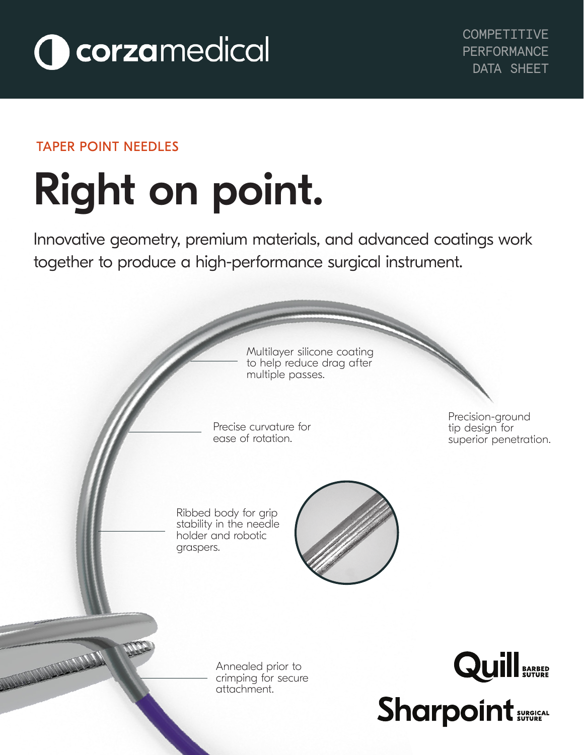

### TAPER POINT NEEDLES

# Right on point. l,

Innovative geometry, premium materials, and advanced coatings work together to produce a high-performance surgical instrument.

> Multilayer silicone coating to help reduce drag after multiple passes.

Precise curvature for ease of rotation.

Precision-ground tip design for superior penetration.

Ribbed body for grip stability in the needle holder and robotic graspers.



Annealed prior to crimping for secure attachment.